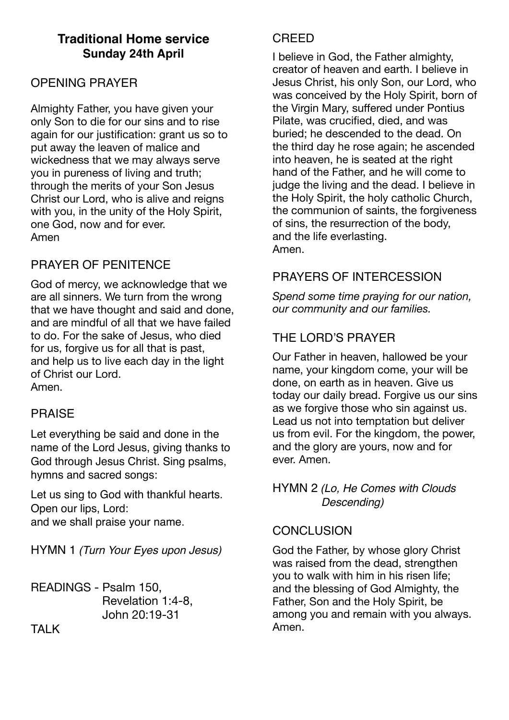# **Traditional Home service Sunday 24th April**

## OPENING PRAYER

Almighty Father, you have given your only Son to die for our sins and to rise again for our justification: grant us so to put away the leaven of malice and wickedness that we may always serve you in pureness of living and truth; through the merits of your Son Jesus Christ our Lord, who is alive and reigns with you, in the unity of the Holy Spirit, one God, now and for ever. Amen

# PRAYER OF PENITENCE

God of mercy, we acknowledge that we are all sinners. We turn from the wrong that we have thought and said and done, and are mindful of all that we have failed to do. For the sake of Jesus, who died for us, forgive us for all that is past, and help us to live each day in the light of Christ our Lord. Amen.

#### PRAISE

Let everything be said and done in the name of the Lord Jesus, giving thanks to God through Jesus Christ. Sing psalms, hymns and sacred songs:

Let us sing to God with thankful hearts. Open our lips, Lord: and we shall praise your name.

HYMN 1 *(Turn Your Eyes upon Jesus)*

READINGS - Psalm 150, Revelation 1:4-8, John 20:19-31

**CREED** 

I believe in God, the Father almighty, creator of heaven and earth. I believe in Jesus Christ, his only Son, our Lord, who was conceived by the Holy Spirit, born of the Virgin Mary, suffered under Pontius Pilate, was crucified, died, and was buried; he descended to the dead. On the third day he rose again; he ascended into heaven, he is seated at the right hand of the Father, and he will come to judge the living and the dead. I believe in the Holy Spirit, the holy catholic Church, the communion of saints, the forgiveness of sins, the resurrection of the body, and the life everlasting. Amen.

# PRAYERS OF INTERCESSION

*Spend some time praying for our nation, our community and our families.* 

# THE LORD'S PRAYER

Our Father in heaven, hallowed be your name, your kingdom come, your will be done, on earth as in heaven. Give us today our daily bread. Forgive us our sins as we forgive those who sin against us. Lead us not into temptation but deliver us from evil. For the kingdom, the power, and the glory are yours, now and for ever. Amen.

#### HYMN 2 *(Lo, He Comes with Clouds Descending)*

#### **CONCLUSION**

God the Father, by whose glory Christ was raised from the dead, strengthen you to walk with him in his risen life; and the blessing of God Almighty, the Father, Son and the Holy Spirit, be among you and remain with you always. Amen.

**TAI K**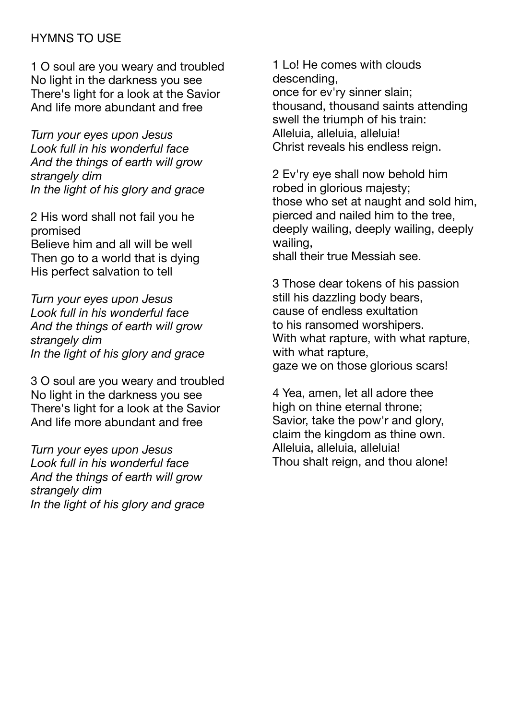## HYMNS TO USE

1 O soul are you weary and troubled No light in the darkness you see There's light for a look at the Savior And life more abundant and free

*Turn your eyes upon Jesus Look full in his wonderful face And the things of earth will grow strangely dim In the light of his glory and grace* 

2 His word shall not fail you he promised Believe him and all will be well

Then go to a world that is dying His perfect salvation to tell

*Turn your eyes upon Jesus Look full in his wonderful face And the things of earth will grow strangely dim In the light of his glory and grace* 

3 O soul are you weary and troubled No light in the darkness you see There's light for a look at the Savior And life more abundant and free

*Turn your eyes upon Jesus Look full in his wonderful face And the things of earth will grow strangely dim In the light of his glory and grace* 

1 Lo! He comes with clouds descending, once for ev'ry sinner slain; thousand, thousand saints attending swell the triumph of his train: Alleluia, alleluia, alleluia! Christ reveals his endless reign.

2 Ev'ry eye shall now behold him robed in glorious majesty; those who set at naught and sold him, pierced and nailed him to the tree, deeply wailing, deeply wailing, deeply wailing,

shall their true Messiah see.

3 Those dear tokens of his passion still his dazzling body bears, cause of endless exultation to his ransomed worshipers. With what rapture, with what rapture, with what rapture, gaze we on those glorious scars!

4 Yea, amen, let all adore thee high on thine eternal throne: Savior, take the pow'r and glory, claim the kingdom as thine own. Alleluia, alleluia, alleluia! Thou shalt reign, and thou alone!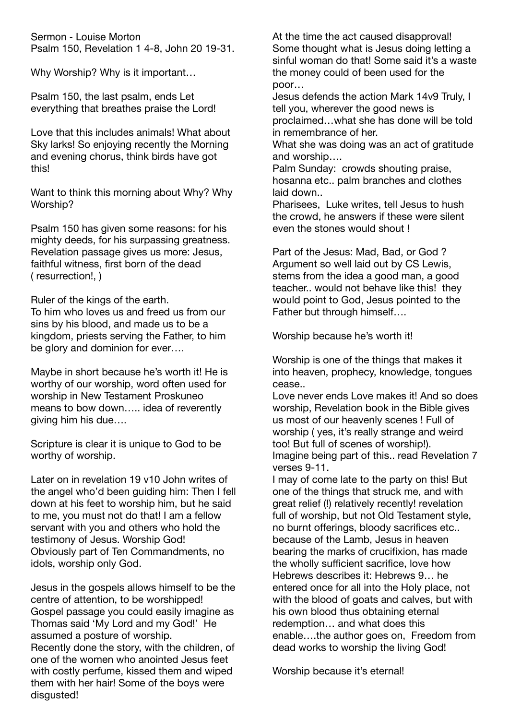Sermon - Louise Morton Psalm 150, Revelation 1 4-8, John 20 19-31.

Why Worship? Why is it important…

Psalm 150, the last psalm, ends Let everything that breathes praise the Lord!

Love that this includes animals! What about Sky larks! So enjoying recently the Morning and evening chorus, think birds have got this!

Want to think this morning about Why? Why Worship?

Psalm 150 has given some reasons: for his mighty deeds, for his surpassing greatness. Revelation passage gives us more: Jesus, faithful witness, first born of the dead ( resurrection!, )

Ruler of the kings of the earth.

To him who loves us and freed us from our sins by his blood, and made us to be a kingdom, priests serving the Father, to him be glory and dominion for ever….

Maybe in short because he's worth it! He is worthy of our worship, word often used for worship in New Testament Proskuneo means to bow down….. idea of reverently giving him his due….

Scripture is clear it is unique to God to be worthy of worship.

Later on in revelation 19 v10 John writes of the angel who'd been guiding him: Then I fell down at his feet to worship him, but he said to me, you must not do that! I am a fellow servant with you and others who hold the testimony of Jesus. Worship God! Obviously part of Ten Commandments, no idols, worship only God.

Jesus in the gospels allows himself to be the centre of attention, to be worshipped! Gospel passage you could easily imagine as Thomas said 'My Lord and my God!' He assumed a posture of worship. Recently done the story, with the children, of one of the women who anointed Jesus feet with costly perfume, kissed them and wiped them with her hair! Some of the boys were disgusted!

At the time the act caused disapproval! Some thought what is Jesus doing letting a sinful woman do that! Some said it's a waste the money could of been used for the poor…

Jesus defends the action Mark 14v9 Truly, I tell you, wherever the good news is proclaimed…what she has done will be told in remembrance of her.

What she was doing was an act of gratitude and worship….

Palm Sunday: crowds shouting praise, hosanna etc.. palm branches and clothes laid down..

Pharisees, Luke writes, tell Jesus to hush the crowd, he answers if these were silent even the stones would shout !

Part of the Jesus: Mad, Bad, or God ? Argument so well laid out by CS Lewis, stems from the idea a good man, a good teacher.. would not behave like this! they would point to God, Jesus pointed to the Father but through himself….

Worship because he's worth it!

Worship is one of the things that makes it into heaven, prophecy, knowledge, tongues cease..

Love never ends Love makes it! And so does worship, Revelation book in the Bible gives us most of our heavenly scenes ! Full of worship ( yes, it's really strange and weird too! But full of scenes of worship!). Imagine being part of this.. read Revelation 7 verses 9-11.

I may of come late to the party on this! But one of the things that struck me, and with great relief (!) relatively recently! revelation full of worship, but not Old Testament style, no burnt offerings, bloody sacrifices etc.. because of the Lamb, Jesus in heaven bearing the marks of crucifixion, has made the wholly sufficient sacrifice, love how Hebrews describes it: Hebrews 9… he entered once for all into the Holy place, not with the blood of goats and calves, but with his own blood thus obtaining eternal redemption… and what does this enable….the author goes on, Freedom from dead works to worship the living God!

Worship because it's eternal!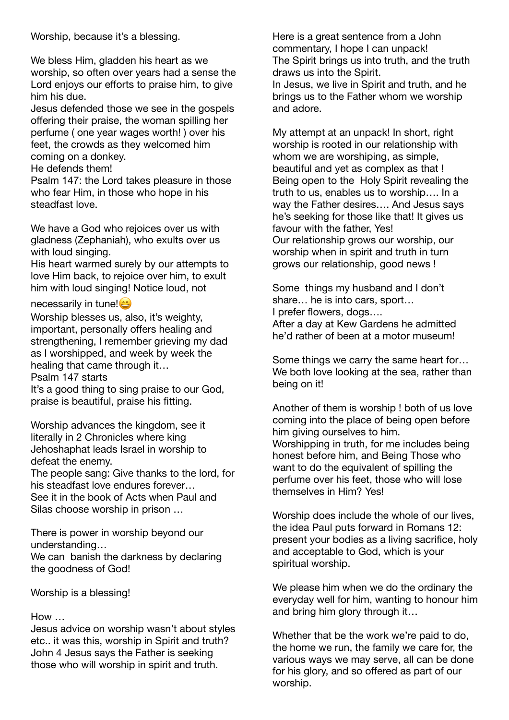Worship, because it's a blessing.

We bless Him, gladden his heart as we worship, so often over years had a sense the Lord enjoys our efforts to praise him, to give him his due.

Jesus defended those we see in the gospels offering their praise, the woman spilling her perfume ( one year wages worth! ) over his feet, the crowds as they welcomed him coming on a donkey.

He defends them!

Psalm 147: the Lord takes pleasure in those who fear Him, in those who hope in his steadfast love.

We have a God who rejoices over us with gladness (Zephaniah), who exults over us with loud singing.

His heart warmed surely by our attempts to love Him back, to rejoice over him, to exult him with loud singing! Notice loud, not

necessarily in tune!

Worship blesses us, also, it's weighty, important, personally offers healing and strengthening, I remember grieving my dad as I worshipped, and week by week the healing that came through it…

Psalm 147 starts

It's a good thing to sing praise to our God, praise is beautiful, praise his fitting.

Worship advances the kingdom, see it literally in 2 Chronicles where king Jehoshaphat leads Israel in worship to defeat the enemy.

The people sang: Give thanks to the lord, for his steadfast love endures forever… See it in the book of Acts when Paul and Silas choose worship in prison …

There is power in worship beyond our understanding…

We can banish the darkness by declaring the goodness of God!

Worship is a blessing!

#### How …

Jesus advice on worship wasn't about styles etc.. it was this, worship in Spirit and truth? John 4 Jesus says the Father is seeking those who will worship in spirit and truth.

Here is a great sentence from a John commentary, I hope I can unpack! The Spirit brings us into truth, and the truth draws us into the Spirit. In Jesus, we live in Spirit and truth, and he brings us to the Father whom we worship and adore.

My attempt at an unpack! In short, right worship is rooted in our relationship with whom we are worshiping, as simple, beautiful and yet as complex as that ! Being open to the Holy Spirit revealing the truth to us, enables us to worship…. In a way the Father desires…. And Jesus says he's seeking for those like that! It gives us favour with the father, Yes! Our relationship grows our worship, our worship when in spirit and truth in turn grows our relationship, good news !

Some things my husband and I don't share… he is into cars, sport… I prefer flowers, dogs…. After a day at Kew Gardens he admitted he'd rather of been at a motor museum!

Some things we carry the same heart for… We both love looking at the sea, rather than being on it!

Another of them is worship ! both of us love coming into the place of being open before him giving ourselves to him. Worshipping in truth, for me includes being honest before him, and Being Those who want to do the equivalent of spilling the perfume over his feet, those who will lose themselves in Him? Yes!

Worship does include the whole of our lives, the idea Paul puts forward in Romans 12: present your bodies as a living sacrifice, holy and acceptable to God, which is your spiritual worship.

We please him when we do the ordinary the everyday well for him, wanting to honour him and bring him glory through it…

Whether that be the work we're paid to do, the home we run, the family we care for, the various ways we may serve, all can be done for his glory, and so offered as part of our worship.